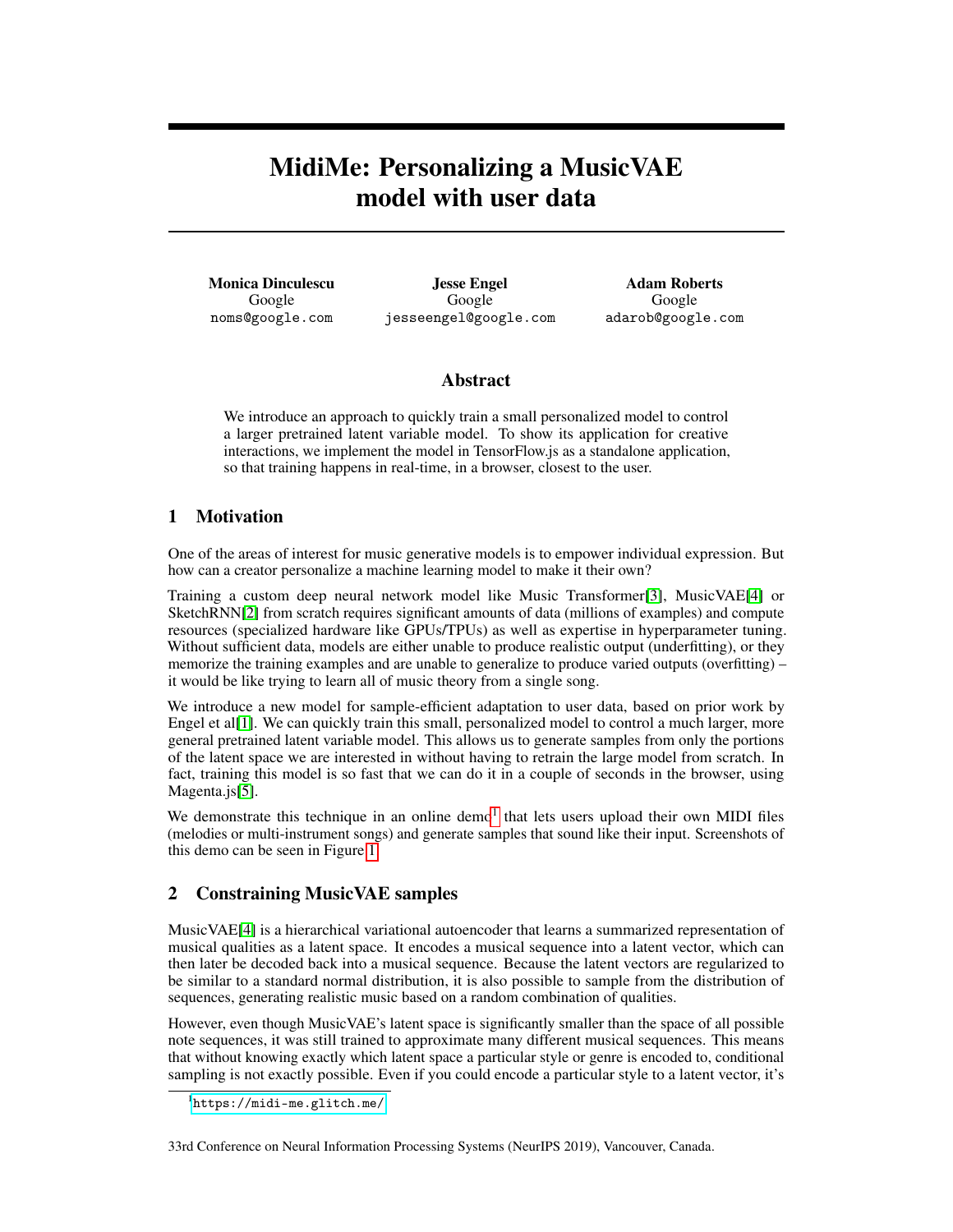# MidiMe: Personalizing a MusicVAE model with user data

Monica Dinculescu Google noms@google.com

Jesse Engel Google jesseengel@google.com

Adam Roberts Google adarob@google.com

### Abstract

We introduce an approach to quickly train a small personalized model to control a larger pretrained latent variable model. To show its application for creative interactions, we implement the model in TensorFlow.js as a standalone application, so that training happens in real-time, in a browser, closest to the user.

## 1 Motivation

One of the areas of interest for music generative models is to empower individual expression. But how can a creator personalize a machine learning model to make it their own?

Training a custom deep neural network model like Music Transformer[\[3\]](#page-2-0), MusicVAE[\[4\]](#page-2-1) or SketchRNN[\[2\]](#page-2-2) from scratch requires significant amounts of data (millions of examples) and compute resources (specialized hardware like GPUs/TPUs) as well as expertise in hyperparameter tuning. Without sufficient data, models are either unable to produce realistic output (underfitting), or they memorize the training examples and are unable to generalize to produce varied outputs (overfitting) – it would be like trying to learn all of music theory from a single song.

We introduce a new model for sample-efficient adaptation to user data, based on prior work by Engel et al<sup>[\[1\]](#page-2-3)</sup>. We can quickly train this small, personalized model to control a much larger, more general pretrained latent variable model. This allows us to generate samples from only the portions of the latent space we are interested in without having to retrain the large model from scratch. In fact, training this model is so fast that we can do it in a couple of seconds in the browser, using Magenta.js[\[5\]](#page-2-4).

We demonstrate this technique in an online demo<sup>[1](#page-0-0)</sup> that lets users upload their own MIDI files (melodies or multi-instrument songs) and generate samples that sound like their input. Screenshots of this demo can be seen in Figure [1.](#page-1-0)

### 2 Constraining MusicVAE samples

MusicVAE[\[4\]](#page-2-1) is a hierarchical variational autoencoder that learns a summarized representation of musical qualities as a latent space. It encodes a musical sequence into a latent vector, which can then later be decoded back into a musical sequence. Because the latent vectors are regularized to be similar to a standard normal distribution, it is also possible to sample from the distribution of sequences, generating realistic music based on a random combination of qualities.

However, even though MusicVAE's latent space is significantly smaller than the space of all possible note sequences, it was still trained to approximate many different musical sequences. This means that without knowing exactly which latent space a particular style or genre is encoded to, conditional sampling is not exactly possible. Even if you could encode a particular style to a latent vector, it's

<span id="page-0-0"></span><sup>1</sup> <https://midi-me.glitch.me/>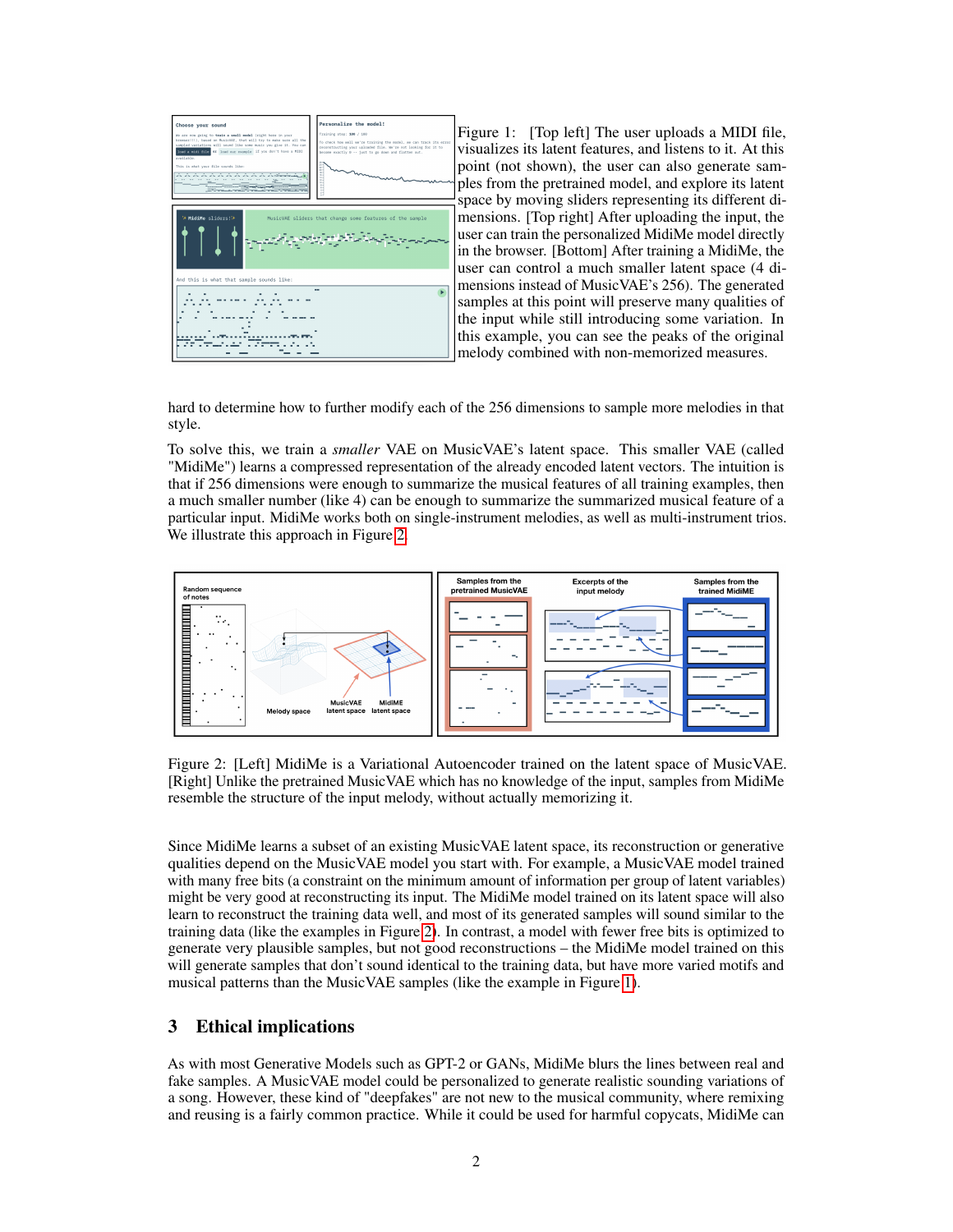

<span id="page-1-0"></span>Figure 1: [Top left] The user uploads a MIDI file, visualizes its latent features, and listens to it. At this point (not shown), the user can also generate samples from the pretrained model, and explore its latent space by moving sliders representing its different dimensions. [Top right] After uploading the input, the user can train the personalized MidiMe model directly in the browser. [Bottom] After training a MidiMe, the user can control a much smaller latent space (4 dimensions instead of MusicVAE's 256). The generated samples at this point will preserve many qualities of the input while still introducing some variation. In this example, you can see the peaks of the original melody combined with non-memorized measures.

hard to determine how to further modify each of the 256 dimensions to sample more melodies in that style.

To solve this, we train a *smaller* VAE on MusicVAE's latent space. This smaller VAE (called "MidiMe") learns a compressed representation of the already encoded latent vectors. The intuition is that if 256 dimensions were enough to summarize the musical features of all training examples, then a much smaller number (like 4) can be enough to summarize the summarized musical feature of a particular input. MidiMe works both on single-instrument melodies, as well as multi-instrument trios. We illustrate this approach in Figure [2.](#page-1-1)



<span id="page-1-1"></span>Figure 2: [Left] MidiMe is a Variational Autoencoder trained on the latent space of MusicVAE. [Right] Unlike the pretrained MusicVAE which has no knowledge of the input, samples from MidiMe resemble the structure of the input melody, without actually memorizing it.

Since MidiMe learns a subset of an existing MusicVAE latent space, its reconstruction or generative qualities depend on the MusicVAE model you start with. For example, a MusicVAE model trained with many free bits (a constraint on the minimum amount of information per group of latent variables) might be very good at reconstructing its input. The MidiMe model trained on its latent space will also learn to reconstruct the training data well, and most of its generated samples will sound similar to the training data (like the examples in Figure [2\)](#page-1-1). In contrast, a model with fewer free bits is optimized to generate very plausible samples, but not good reconstructions – the MidiMe model trained on this will generate samples that don't sound identical to the training data, but have more varied motifs and musical patterns than the MusicVAE samples (like the example in Figure [1\)](#page-1-0).

#### 3 Ethical implications

As with most Generative Models such as GPT-2 or GANs, MidiMe blurs the lines between real and fake samples. A MusicVAE model could be personalized to generate realistic sounding variations of a song. However, these kind of "deepfakes" are not new to the musical community, where remixing and reusing is a fairly common practice. While it could be used for harmful copycats, MidiMe can